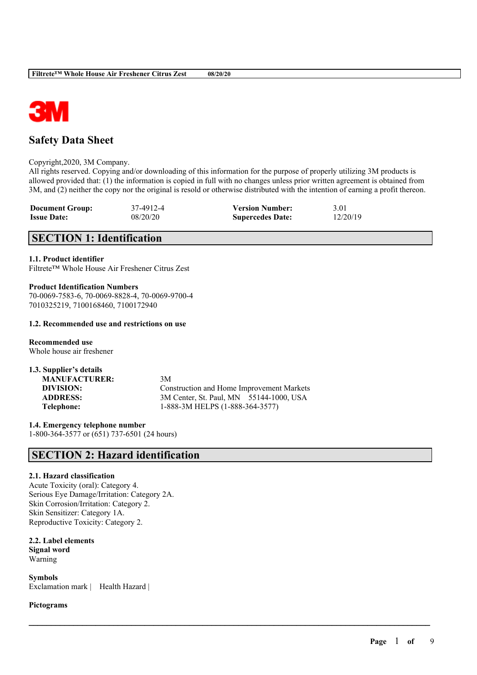

# **Safety Data Sheet**

### Copyright,2020, 3M Company.

All rights reserved. Copying and/or downloading of this information for the purpose of properly utilizing 3M products is allowed provided that: (1) the information is copied in full with no changes unless prior written agreement is obtained from 3M, and (2) neither the copy nor the original is resold or otherwise distributed with the intention of earning a profit thereon.

| <b>Document Group:</b> | 37-4912-4 | <b>Version Number:</b>  | 3.01     |
|------------------------|-----------|-------------------------|----------|
| <b>Issue Date:</b>     | 08/20/20  | <b>Supercedes Date:</b> | 12/20/19 |

# **SECTION 1: Identification**

### **1.1. Product identifier**

Filtrete™ Whole House Air Freshener Citrus Zest

### **Product Identification Numbers** 70-0069-7583-6, 70-0069-8828-4, 70-0069-9700-4 7010325219, 7100168460, 7100172940

### **1.2. Recommended use and restrictions on use**

**Recommended use** Whole house air freshener

# **1.3. Supplier's details MANUFACTURER:** 3M

**DIVISION:** Construction and Home Improvement Markets **ADDRESS:** 3M Center, St. Paul, MN 55144-1000, USA **Telephone:** 1-888-3M HELPS (1-888-364-3577)

 $\mathcal{L}_\mathcal{L} = \mathcal{L}_\mathcal{L} = \mathcal{L}_\mathcal{L} = \mathcal{L}_\mathcal{L} = \mathcal{L}_\mathcal{L} = \mathcal{L}_\mathcal{L} = \mathcal{L}_\mathcal{L} = \mathcal{L}_\mathcal{L} = \mathcal{L}_\mathcal{L} = \mathcal{L}_\mathcal{L} = \mathcal{L}_\mathcal{L} = \mathcal{L}_\mathcal{L} = \mathcal{L}_\mathcal{L} = \mathcal{L}_\mathcal{L} = \mathcal{L}_\mathcal{L} = \mathcal{L}_\mathcal{L} = \mathcal{L}_\mathcal{L}$ 

**1.4. Emergency telephone number** 1-800-364-3577 or (651) 737-6501 (24 hours)

# **SECTION 2: Hazard identification**

# **2.1. Hazard classification**

Acute Toxicity (oral): Category 4. Serious Eye Damage/Irritation: Category 2A. Skin Corrosion/Irritation: Category 2. Skin Sensitizer: Category 1A. Reproductive Toxicity: Category 2.

**2.2. Label elements Signal word** Warning

**Symbols** Exclamation mark | Health Hazard |

**Pictograms**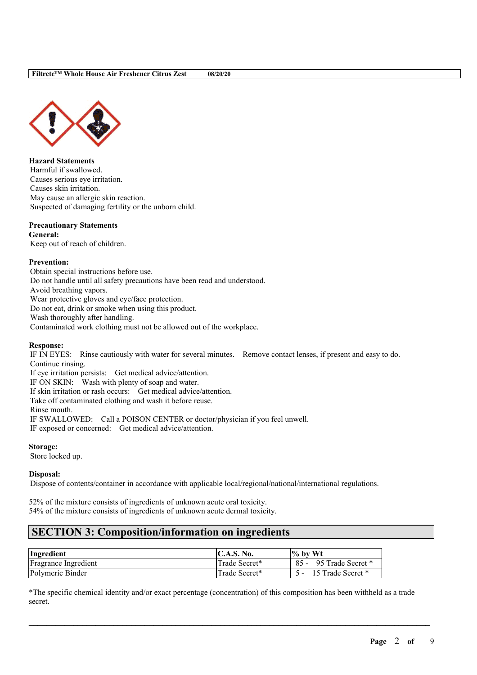

**Hazard Statements** Harmful if swallowed. Causes serious eye irritation. Causes skin irritation. May cause an allergic skin reaction. Suspected of damaging fertility or the unborn child.

# **Precautionary Statements**

**General:**

Keep out of reach of children.

### **Prevention:**

Obtain special instructions before use. Do not handle until all safety precautions have been read and understood. Avoid breathing vapors. Wear protective gloves and eye/face protection. Do not eat, drink or smoke when using this product. Wash thoroughly after handling.

Contaminated work clothing must not be allowed out of the workplace.

# **Response:**

IF IN EYES: Rinse cautiously with water for several minutes. Remove contact lenses, if present and easy to do. Continue rinsing.

If eye irritation persists: Get medical advice/attention.

IF ON SKIN: Wash with plenty of soap and water.

If skin irritation or rash occurs: Get medical advice/attention.

Take off contaminated clothing and wash it before reuse.

Rinse mouth.

IF SWALLOWED: Call a POISON CENTER or doctor/physician if you feel unwell.

IF exposed or concerned: Get medical advice/attention.

**Storage:**

Store locked up.

### **Disposal:**

Dispose of contents/container in accordance with applicable local/regional/national/international regulations.

52% of the mixture consists of ingredients of unknown acute oral toxicity. 54% of the mixture consists of ingredients of unknown acute dermal toxicity.

# **SECTION 3: Composition/information on ingredients**

| Ingredient           | <b>IC.A.S. No.</b> | $\frac{1}{6}$ by Wt         |
|----------------------|--------------------|-----------------------------|
| Fragrance Ingredient | Trade Secret*      | $85 -$<br>95 Trade Secret * |
| Polymeric Binder     | Trade Secret*      | 15 Trade Secret *           |

\*The specific chemical identity and/or exact percentage (concentration) of this composition has been withheld as a trade secret.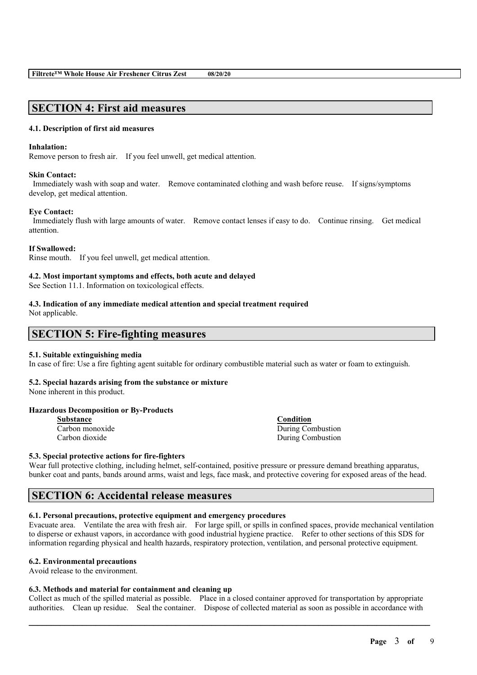# **SECTION 4: First aid measures**

### **4.1. Description of first aid measures**

### **Inhalation:**

Remove person to fresh air. If you feel unwell, get medical attention.

### **Skin Contact:**

Immediately wash with soap and water. Remove contaminated clothing and wash before reuse. If signs/symptoms develop, get medical attention.

### **Eye Contact:**

Immediately flush with large amounts of water. Remove contact lenses if easy to do. Continue rinsing. Get medical attention.

### **If Swallowed:**

Rinse mouth. If you feel unwell, get medical attention.

### **4.2. Most important symptoms and effects, both acute and delayed**

See Section 11.1. Information on toxicological effects.

#### **4.3. Indication of any immediate medical attention and special treatment required** Not applicable.

# **SECTION 5: Fire-fighting measures**

### **5.1. Suitable extinguishing media**

In case of fire: Use a fire fighting agent suitable for ordinary combustible material such as water or foam to extinguish.

### **5.2. Special hazards arising from the substance or mixture**

None inherent in this product.

# **Hazardous Decomposition or By-Products**

| Substance       |  |  |
|-----------------|--|--|
| Carbon monoxide |  |  |
| Carbon dioxide  |  |  |

**Condition** During Combustion During Combustion

# **5.3. Special protective actions for fire-fighters**

Wear full protective clothing, including helmet, self-contained, positive pressure or pressure demand breathing apparatus, bunker coat and pants, bands around arms, waist and legs, face mask, and protective covering for exposed areas of the head.

# **SECTION 6: Accidental release measures**

### **6.1. Personal precautions, protective equipment and emergency procedures**

Evacuate area. Ventilate the area with fresh air. For large spill, or spills in confined spaces, provide mechanical ventilation to disperse or exhaust vapors, in accordance with good industrial hygiene practice. Refer to other sections of this SDS for information regarding physical and health hazards, respiratory protection, ventilation, and personal protective equipment.

### **6.2. Environmental precautions**

Avoid release to the environment.

### **6.3. Methods and material for containment and cleaning up**

Collect as much of the spilled material as possible. Place in a closed container approved for transportation by appropriate authorities. Clean up residue. Seal the container. Dispose of collected material as soon as possible in accordance with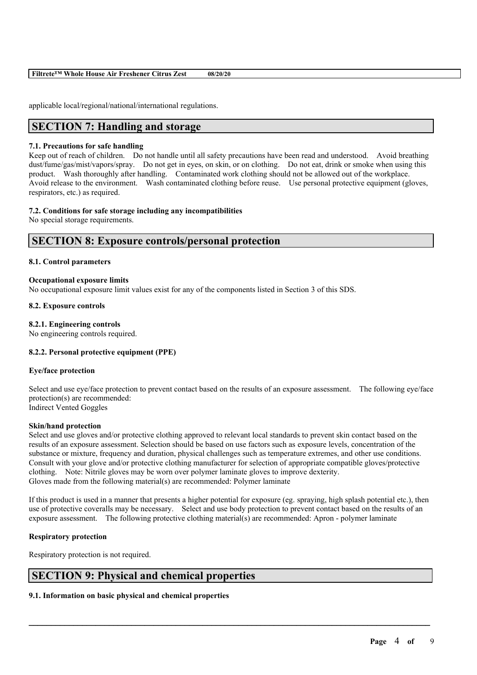| Filtrete™ Whole House Air Freshener Citrus Zest | 08/20/20 |
|-------------------------------------------------|----------|
|-------------------------------------------------|----------|

applicable local/regional/national/international regulations.

# **SECTION 7: Handling and storage**

### **7.1. Precautions for safe handling**

Keep out of reach of children. Do not handle until all safety precautions have been read and understood. Avoid breathing dust/fume/gas/mist/vapors/spray. Do not get in eyes, on skin, or on clothing. Do not eat, drink or smoke when using this product. Wash thoroughly after handling. Contaminated work clothing should not be allowed out of the workplace. Avoid release to the environment. Wash contaminated clothing before reuse. Use personal protective equipment (gloves, respirators, etc.) as required.

### **7.2. Conditions for safe storage including any incompatibilities**

No special storage requirements.

# **SECTION 8: Exposure controls/personal protection**

### **8.1. Control parameters**

### **Occupational exposure limits**

No occupational exposure limit values exist for any of the components listed in Section 3 of this SDS.

### **8.2. Exposure controls**

### **8.2.1. Engineering controls**

No engineering controls required.

# **8.2.2. Personal protective equipment (PPE)**

### **Eye/face protection**

Select and use eye/face protection to prevent contact based on the results of an exposure assessment. The following eye/face protection(s) are recommended: Indirect Vented Goggles

### **Skin/hand protection**

Select and use gloves and/or protective clothing approved to relevant local standards to prevent skin contact based on the results of an exposure assessment. Selection should be based on use factors such as exposure levels, concentration of the substance or mixture, frequency and duration, physical challenges such as temperature extremes, and other use conditions. Consult with your glove and/or protective clothing manufacturer for selection of appropriate compatible gloves/protective clothing. Note: Nitrile gloves may be worn over polymer laminate gloves to improve dexterity. Gloves made from the following material(s) are recommended: Polymer laminate

If this product is used in a manner that presents a higher potential for exposure (eg. spraying, high splash potential etc.), then use of protective coveralls may be necessary. Select and use body protection to prevent contact based on the results of an exposure assessment. The following protective clothing material(s) are recommended: Apron - polymer laminate

 $\mathcal{L}_\mathcal{L} = \mathcal{L}_\mathcal{L} = \mathcal{L}_\mathcal{L} = \mathcal{L}_\mathcal{L} = \mathcal{L}_\mathcal{L} = \mathcal{L}_\mathcal{L} = \mathcal{L}_\mathcal{L} = \mathcal{L}_\mathcal{L} = \mathcal{L}_\mathcal{L} = \mathcal{L}_\mathcal{L} = \mathcal{L}_\mathcal{L} = \mathcal{L}_\mathcal{L} = \mathcal{L}_\mathcal{L} = \mathcal{L}_\mathcal{L} = \mathcal{L}_\mathcal{L} = \mathcal{L}_\mathcal{L} = \mathcal{L}_\mathcal{L}$ 

# **Respiratory protection**

Respiratory protection is not required.

# **SECTION 9: Physical and chemical properties**

# **9.1. Information on basic physical and chemical properties**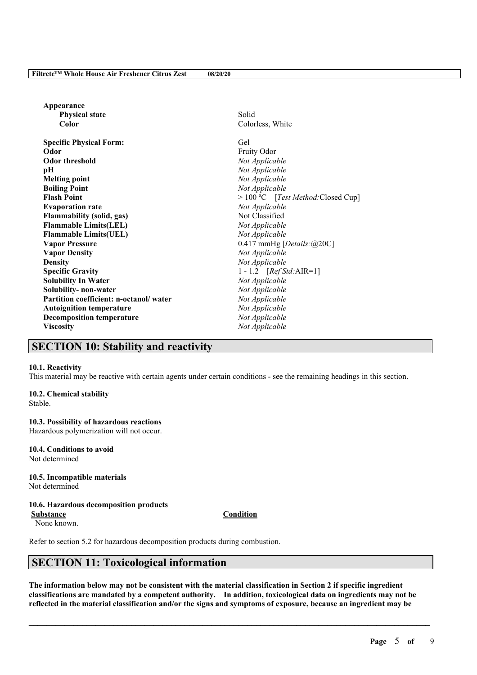| Appearance                             |                                      |
|----------------------------------------|--------------------------------------|
| <b>Physical state</b>                  | Solid                                |
| Color                                  | Colorless, White                     |
| <b>Specific Physical Form:</b>         | Gel                                  |
| Odor                                   | Fruity Odor                          |
| <b>Odor threshold</b>                  | Not Applicable                       |
| pН                                     | Not Applicable                       |
| <b>Melting point</b>                   | Not Applicable                       |
| <b>Boiling Point</b>                   | Not Applicable                       |
| <b>Flash Point</b>                     | $> 100 °C$ [Test Method: Closed Cup] |
| <b>Evaporation rate</b>                | Not Applicable                       |
| <b>Flammability</b> (solid, gas)       | Not Classified                       |
| <b>Flammable Limits(LEL)</b>           | Not Applicable                       |
| <b>Flammable Limits(UEL)</b>           | Not Applicable                       |
| <b>Vapor Pressure</b>                  | 0.417 mmHg [Details: $@20C]$         |
| <b>Vapor Density</b>                   | Not Applicable                       |
| <b>Density</b>                         | Not Applicable                       |
| <b>Specific Gravity</b>                | 1 - 1.2 $[RefStd:AIR=1]$             |
| <b>Solubility In Water</b>             | Not Applicable                       |
| Solubility- non-water                  | Not Applicable                       |
| Partition coefficient: n-octanol/water | Not Applicable                       |
| <b>Autoignition temperature</b>        | Not Applicable                       |
| <b>Decomposition temperature</b>       | Not Applicable                       |
| <b>Viscosity</b>                       | Not Applicable                       |
|                                        |                                      |

# **SECTION 10: Stability and reactivity**

### **10.1. Reactivity**

This material may be reactive with certain agents under certain conditions - see the remaining headings in this section.

### **10.2. Chemical stability**

Stable.

# **10.3. Possibility of hazardous reactions**

Hazardous polymerization will not occur.

# **10.4. Conditions to avoid**

Not determined

#### **10.5. Incompatible materials** Not determined

# **10.6. Hazardous decomposition products**

**Substance Condition**

None known.

Refer to section 5.2 for hazardous decomposition products during combustion.

# **SECTION 11: Toxicological information**

The information below may not be consistent with the material classification in Section 2 if specific ingredient **classifications are mandated by a competent authority. In addition, toxicological data on ingredients may not be** reflected in the material classification and/or the signs and symptoms of exposure, because an ingredient may be

 $\mathcal{L}_\mathcal{L} = \mathcal{L}_\mathcal{L} = \mathcal{L}_\mathcal{L} = \mathcal{L}_\mathcal{L} = \mathcal{L}_\mathcal{L} = \mathcal{L}_\mathcal{L} = \mathcal{L}_\mathcal{L} = \mathcal{L}_\mathcal{L} = \mathcal{L}_\mathcal{L} = \mathcal{L}_\mathcal{L} = \mathcal{L}_\mathcal{L} = \mathcal{L}_\mathcal{L} = \mathcal{L}_\mathcal{L} = \mathcal{L}_\mathcal{L} = \mathcal{L}_\mathcal{L} = \mathcal{L}_\mathcal{L} = \mathcal{L}_\mathcal{L}$ 

#### **Page** 5 **of** 9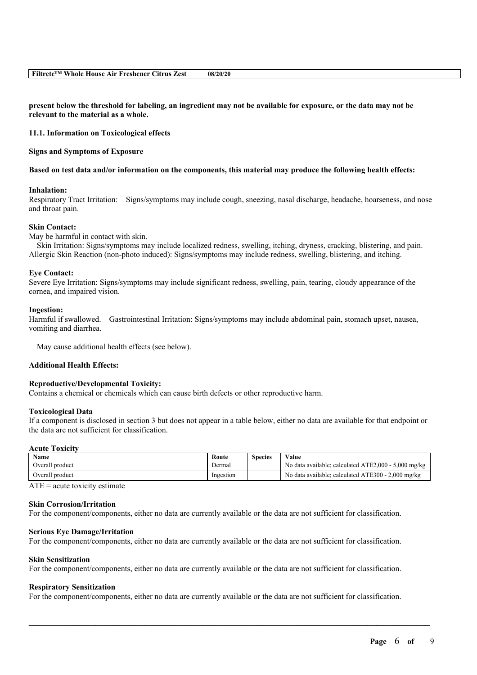present below the threshold for labeling, an ingredient may not be available for exposure, or the data may not be **relevant to the material as a whole.**

**11.1. Information on Toxicological effects**

**Signs and Symptoms of Exposure**

Based on test data and/or information on the components, this material may produce the following health effects:

### **Inhalation:**

Respiratory Tract Irritation: Signs/symptoms may include cough, sneezing, nasal discharge, headache, hoarseness, and nose and throat pain.

### **Skin Contact:**

May be harmful in contact with skin.

Skin Irritation: Signs/symptoms may include localized redness, swelling, itching, dryness, cracking, blistering, and pain. Allergic Skin Reaction (non-photo induced): Signs/symptoms may include redness, swelling, blistering, and itching.

#### **Eye Contact:**

Severe Eye Irritation: Signs/symptoms may include significant redness, swelling, pain, tearing, cloudy appearance of the cornea, and impaired vision.

#### **Ingestion:**

Harmful if swallowed. Gastrointestinal Irritation: Signs/symptoms may include abdominal pain, stomach upset, nausea, vomiting and diarrhea.

May cause additional health effects (see below).

### **Additional Health Effects:**

### **Reproductive/Developmental Toxicity:**

Contains a chemical or chemicals which can cause birth defects or other reproductive harm.

### **Toxicological Data**

If a component is disclosed in section 3 but does not appear in a table below, either no data are available for that endpoint or the data are not sufficient for classification.

#### **Acute Toxicity**

| Name            | Route     | Species | Value                                                |
|-----------------|-----------|---------|------------------------------------------------------|
| Overall product | Dermal    |         | No data available; calculated ATE2,000 - 5,000 mg/kg |
| Overall product | Ingestion |         | No data available; calculated ATE300 - 2,000 mg/kg   |

 $ATE = acute$  toxicity estimate

# **Skin Corrosion/Irritation**

For the component/components, either no data are currently available or the data are not sufficient for classification.

### **Serious Eye Damage/Irritation**

For the component/components, either no data are currently available or the data are not sufficient for classification.

### **Skin Sensitization**

For the component/components, either no data are currently available or the data are not sufficient for classification.

### **Respiratory Sensitization**

For the component/components, either no data are currently available or the data are not sufficient for classification.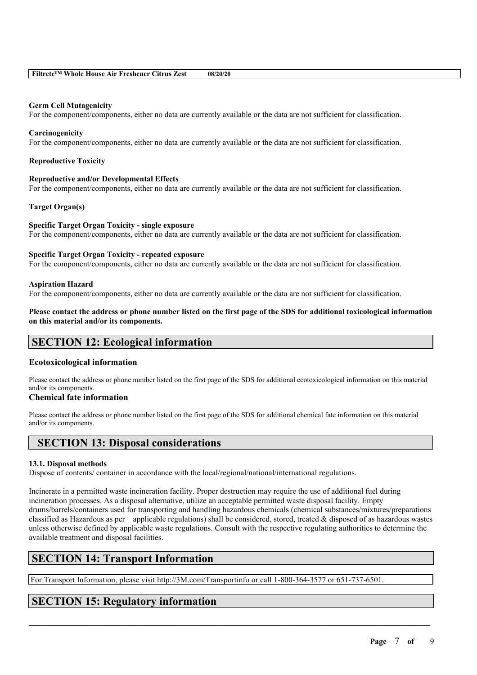### **Germ Cell Mutagenicity**

For the component/components, either no data are currently available or the data are not sufficient for classification.

### **Carcinogenicity**

For the component/components, either no data are currently available or the data are not sufficient for classification.

### **Reproductive Toxicity**

### **Reproductive and/or Developmental Effects**

For the component/components, either no data are currently available or the data are not sufficient for classification.

### **Target Organ(s)**

# **Specific Target Organ Toxicity - single exposure**

For the component/components, either no data are currently available or the data are not sufficient for classification.

### **Specific Target Organ Toxicity - repeated exposure**

For the component/components, either no data are currently available or the data are not sufficient for classification.

### **Aspiration Hazard**

For the component/components, either no data are currently available or the data are not sufficient for classification.

Please contact the address or phone number listed on the first page of the SDS for additional toxicological information **on this material and/or its components.**

# **SECTION 12: Ecological information**

# **Ecotoxicological information**

Please contact the address or phone number listed on the first page of the SDS for additional ecotoxicological information on this material and/or its components.

# **Chemical fate information**

Please contact the address or phone number listed on the first page of the SDS for additional chemical fate information on this material and/or its components.

# **SECTION 13: Disposal considerations**

# **13.1. Disposal methods**

Dispose of contents/ container in accordance with the local/regional/national/international regulations.

Incinerate in a permitted waste incineration facility. Proper destruction may require the use of additional fuel during incineration processes. As a disposal alternative, utilize an acceptable permitted waste disposal facility. Empty drums/barrels/containers used for transporting and handling hazardous chemicals (chemical substances/mixtures/preparations classified as Hazardous as per applicable regulations) shall be considered, stored, treated  $\&$  disposed of as hazardous wastes unless otherwise defined by applicable waste regulations. Consult with the respective regulating authorities to determine the available treatment and disposal facilities.

 $\mathcal{L}_\mathcal{L} = \mathcal{L}_\mathcal{L} = \mathcal{L}_\mathcal{L} = \mathcal{L}_\mathcal{L} = \mathcal{L}_\mathcal{L} = \mathcal{L}_\mathcal{L} = \mathcal{L}_\mathcal{L} = \mathcal{L}_\mathcal{L} = \mathcal{L}_\mathcal{L} = \mathcal{L}_\mathcal{L} = \mathcal{L}_\mathcal{L} = \mathcal{L}_\mathcal{L} = \mathcal{L}_\mathcal{L} = \mathcal{L}_\mathcal{L} = \mathcal{L}_\mathcal{L} = \mathcal{L}_\mathcal{L} = \mathcal{L}_\mathcal{L}$ 

# **SECTION 14: Transport Information**

For Transport Information, please visit http://3M.com/Transportinfo or call 1-800-364-3577 or 651-737-6501.

# **SECTION 15: Regulatory information**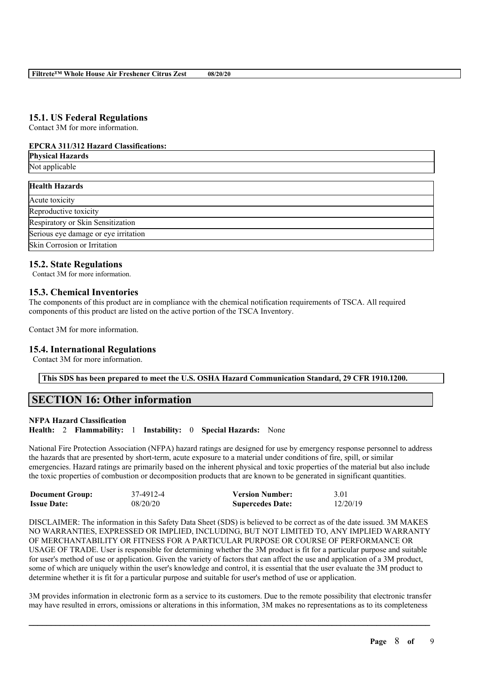# **15.1. US Federal Regulations**

Contact 3M for more information.

### **EPCRA 311/312 Hazard Classifications:**

| <b>Physical Hazards</b>              |
|--------------------------------------|
| Not applicable                       |
| <b>Health Hazards</b>                |
| Acute toxicity                       |
| Reproductive toxicity                |
| Respiratory or Skin Sensitization    |
| Serious eye damage or eye irritation |
| Skin Corrosion or Irritation         |

# **15.2. State Regulations**

Contact 3M for more information.

# **15.3. Chemical Inventories**

The components of this product are in compliance with the chemical notification requirements of TSCA. All required components of this product are listed on the active portion of the TSCA Inventory.

Contact 3M for more information.

# **15.4. International Regulations**

Contact 3M for more information.

**This SDS has been prepared to meet the U.S. OSHA Hazard Communication Standard, 29 CFR 1910.1200.**

# **SECTION 16: Other information**

# **NFPA Hazard Classification**

**Health:** 2 **Flammability:** 1 **Instability:** 0 **Special Hazards:** None

National Fire Protection Association (NFPA) hazard ratings are designed for use by emergency response personnel to address the hazards that are presented by short-term, acute exposure to a material under conditions of fire, spill, or similar emergencies. Hazard ratings are primarily based on the inherent physical and toxic properties of the material but also include the toxic properties of combustion or decomposition products that are known to be generated in significant quantities.

| <b>Document Group:</b> | 37-4912-4 | <b>Version Number:</b>  | 3.01     |
|------------------------|-----------|-------------------------|----------|
| <b>Issue Date:</b>     | 08/20/20  | <b>Supercedes Date:</b> | 12/20/19 |

DISCLAIMER: The information in this Safety Data Sheet (SDS) is believed to be correct as of the date issued. 3M MAKES NO WARRANTIES, EXPRESSED OR IMPLIED, INCLUDING, BUT NOT LIMITED TO, ANY IMPLIED WARRANTY OF MERCHANTABILITY OR FITNESS FOR A PARTICULAR PURPOSE OR COURSE OF PERFORMANCE OR USAGE OF TRADE. User is responsible for determining whether the 3M product is fit for a particular purpose and suitable for user's method of use or application. Given the variety of factors that can affect the use and application of a 3M product, some of which are uniquely within the user's knowledge and control, it is essential that the user evaluate the 3M product to determine whether it is fit for a particular purpose and suitable for user's method of use or application.

3M provides information in electronic form as a service to its customers. Due to the remote possibility that electronic transfer may have resulted in errors, omissions or alterations in this information, 3M makes no representations as to its completeness